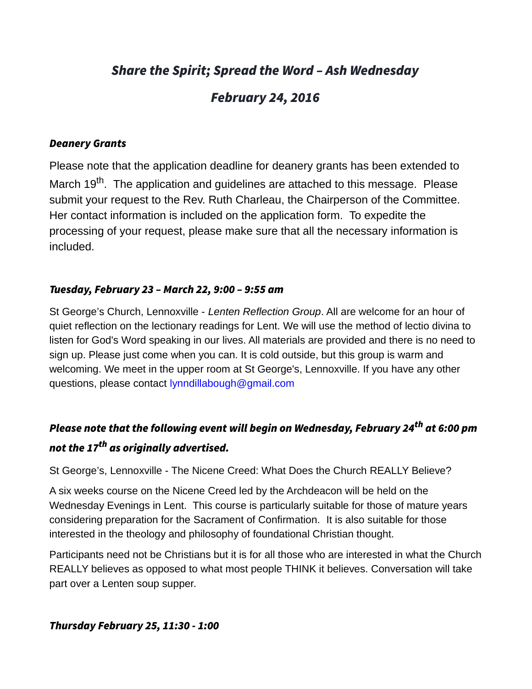# Share the Spirit; Spread the Word – Ash Wednesday

# February 24, 2016

#### Deanery Grants

Please note that the application deadline for deanery grants has been extended to March 19<sup>th</sup>. The application and guidelines are attached to this message. Please submit your request to the Rev. Ruth Charleau, the Chairperson of the Committee. Her contact information is included on the application form. To expedite the processing of your request, please make sure that all the necessary information is included.

#### Tuesday, February 23 – March 22, 9:00 – 9:55 am

St George's Church, Lennoxville - *Lenten Reflection Group*. All are welcome for an hour of quiet reflection on the lectionary readings for Lent. We will use the method of lectio divina to listen for God's Word speaking in our lives. All materials are provided and there is no need to sign up. Please just come when you can. It is cold outside, but this group is warm and welcoming. We meet in the upper room at St George's, Lennoxville. If you have any other questions, please contact [lynndillabough@gmail.com](mailto:lynndillabough@gmail.com)

# Please note that the following event will begin on Wednesday, February 24<sup>th</sup> at 6:00 pm not the 17<sup>th</sup> as originally advertised.

St George's, Lennoxville - The Nicene Creed: What Does the Church REALLY Believe?

A six weeks course on the Nicene Creed led by the Archdeacon will be held on the Wednesday Evenings in Lent. This course is particularly suitable for those of mature years considering preparation for the Sacrament of Confirmation. It is also suitable for those interested in the theology and philosophy of foundational Christian thought.

Participants need not be Christians but it is for all those who are interested in what the Church REALLY believes as opposed to what most people THINK it believes. Conversation will take part over a Lenten soup supper.

# Thursday February 25, 11:30 - 1:00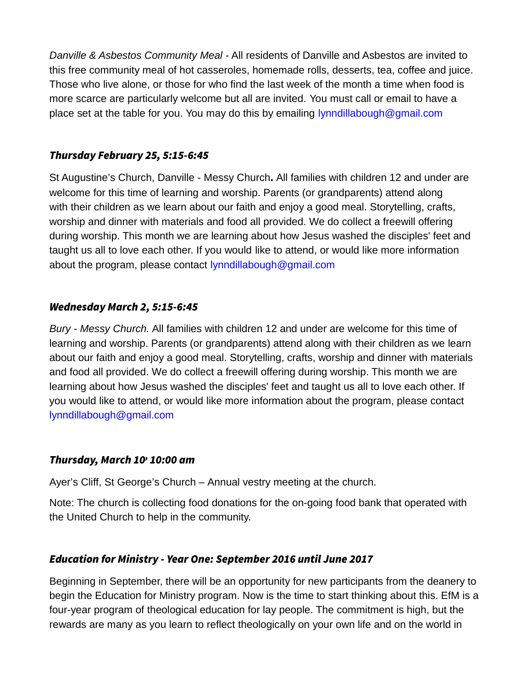*Danville & Asbestos Community Meal -* All residents of Danville and Asbestos are invited to this free community meal of hot casseroles, homemade rolls, desserts, tea, coffee and juice. Those who live alone, or those for who find the last week of the month a time when food is more scarce are particularly welcome but all are invited. You must call or email to have a place set at the table for you. You may do this by emailing [lynndillabough@gmail.com](mailto:lynndillabough@gmail.com)

#### Thursday February 25, 5:15-6:45

St Augustine's Church, Danville - Messy Church. All families with children 12 and under are welcome for this time of learning and worship. Parents (or grandparents) attend along with their children as we learn about our faith and enjoy a good meal. Storytelling, crafts, worship and dinner with materials and food all provided. We do collect a freewill offering during worship. This month we are learning about how Jesus washed the disciples' feet and taught us all to love each other. If you would like to attend, or would like more information about the program, please contact [lynndillabough@gmail.com](mailto:lynndillabough@gmail.com)

#### Wednesday March 2, 5:15-6:45

*Bury - Messy Church.* All families with children 12 and under are welcome for this time of learning and worship. Parents (or grandparents) attend along with their children as we learn about our faith and enjoy a good meal. Storytelling, crafts, worship and dinner with materials and food all provided. We do collect a freewill offering during worship. This month we are learning about how Jesus washed the disciples' feet and taught us all to love each other. If you would like to attend, or would like more information about the program, please contact [lynndillabough@gmail.com](mailto:lynndillabough@gmail.com)

#### Thursday, March 10<sup>,</sup> 10:00 am

Ayer's Cliff, St George's Church – Annual vestry meeting at the church.

Note: The church is collecting food donations for the on-going food bank that operated with the United Church to help in the community.

# Education for Ministry - Year One: September 2016 until June 2017

Beginning in September, there will be an opportunity for new participants from the deanery to begin the Education for Ministry program. Now is the time to start thinking about this. EfM is a four-year program of theological education for lay people. The commitment is high, but the rewards are many as you learn to reflect theologically on your own life and on the world in